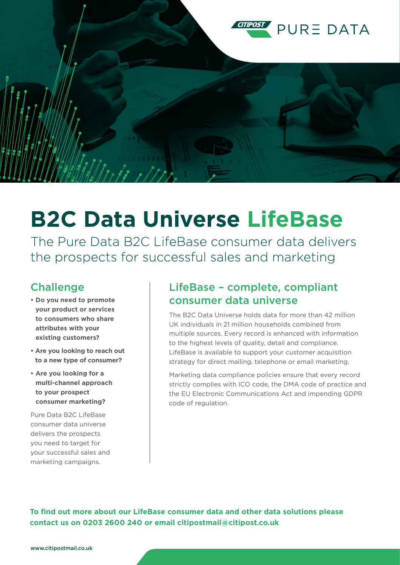

# **B2C Data Universe LifeBase**

The Pure Data B2C LifeBase consumer data delivers the prospects for successful sales and marketing

#### Challenge

- **Do you need to promote your product or services to consumers who share attributes with your existing customers?**
- **Are you looking to reach out to a new type of consumer?**
- **Are you looking for a multi-channel approach to your prospect consumer marketing?**

Pure Data B2C LifeBase consumer data universe delivers the prospects you need to target for your successful sales and marketing campaigns.

#### LifeBase – complete, compliant consumer data universe

The B2C Data Universe holds data for more than 42 million UK individuals in 21 million households combined from multiple sources. Every record is enhanced with information to the highest levels of quality, detail and compliance. LifeBase is available to support your customer acquisition strategy for direct mailing, telephone or email marketing.

Marketing data compliance policies ensure that every record strictly complies with ICO code, the DMA code of practice and the EU Electronic Communications Act and impending GDPR code of regulation.

**To find out more about our LifeBase consumer data and other data solutions please contact us on 0203 2600 240 or email citipostmail@citipost.co.uk**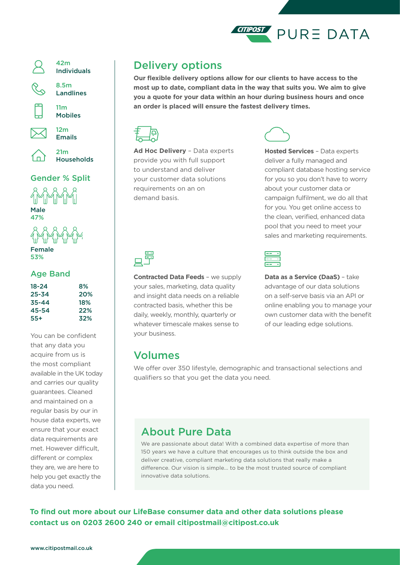



42m Individuals

8.5m

Landlines

11m



Mobiles 12m



21m Households

Emails

#### Gender % Split



Female 53%

#### Age Band

| $18 - 24$ | 8%  |
|-----------|-----|
| $25 - 34$ | 20% |
| $35 - 44$ | 18% |
| 45-54     | 22% |
| $55+$     | 32% |

You can be confident that any data you acquire from us is the most compliant available in the UK today and carries our quality guarantees. Cleaned and maintained on a regular basis by our in house data experts, we ensure that your exact data requirements are met. However difficult, different or complex they are, we are here to help you get exactly the data you need.

### Delivery options

**Our flexible delivery options allow for our clients to have access to the most up to date, compliant data in the way that suits you. We aim to give you a quote for your data within an hour during business hours and once an order is placed will ensure the fastest delivery times.**



**Ad Hoc Delivery** – Data experts provide you with full support to understand and deliver your customer data solutions requirements on an on demand basis.



**Hosted Services** – Data experts deliver a fully managed and compliant database hosting service for you so you don't have to worry about your customer data or campaign fulfilment, we do all that for you. You get online access to the clean, verified, enhanced data pool that you need to meet your sales and marketing requirements.

**Contracted Data Feeds** – we supply your sales, marketing, data quality and insight data needs on a reliable contracted basis, whether this be daily, weekly, monthly, quarterly or whatever timescale makes sense to your business.

**Data as a Service (DaaS)** – take advantage of our data solutions on a self-serve basis via an API or online enabling you to manage your own customer data with the benefit of our leading edge solutions.

#### Volumes

We offer over 350 lifestyle, demographic and transactional selections and qualifiers so that you get the data you need.

## About Pure Data

We are passionate about data! With a combined data expertise of more than 150 years we have a culture that encourages us to think outside the box and deliver creative, compliant marketing data solutions that really make a difference. Our vision is simple... to be the most trusted source of compliant innovative data solutions.

**To find out more about our LifeBase consumer data and other data solutions please contact us on 0203 2600 240 or email citipostmail@citipost.co.uk**